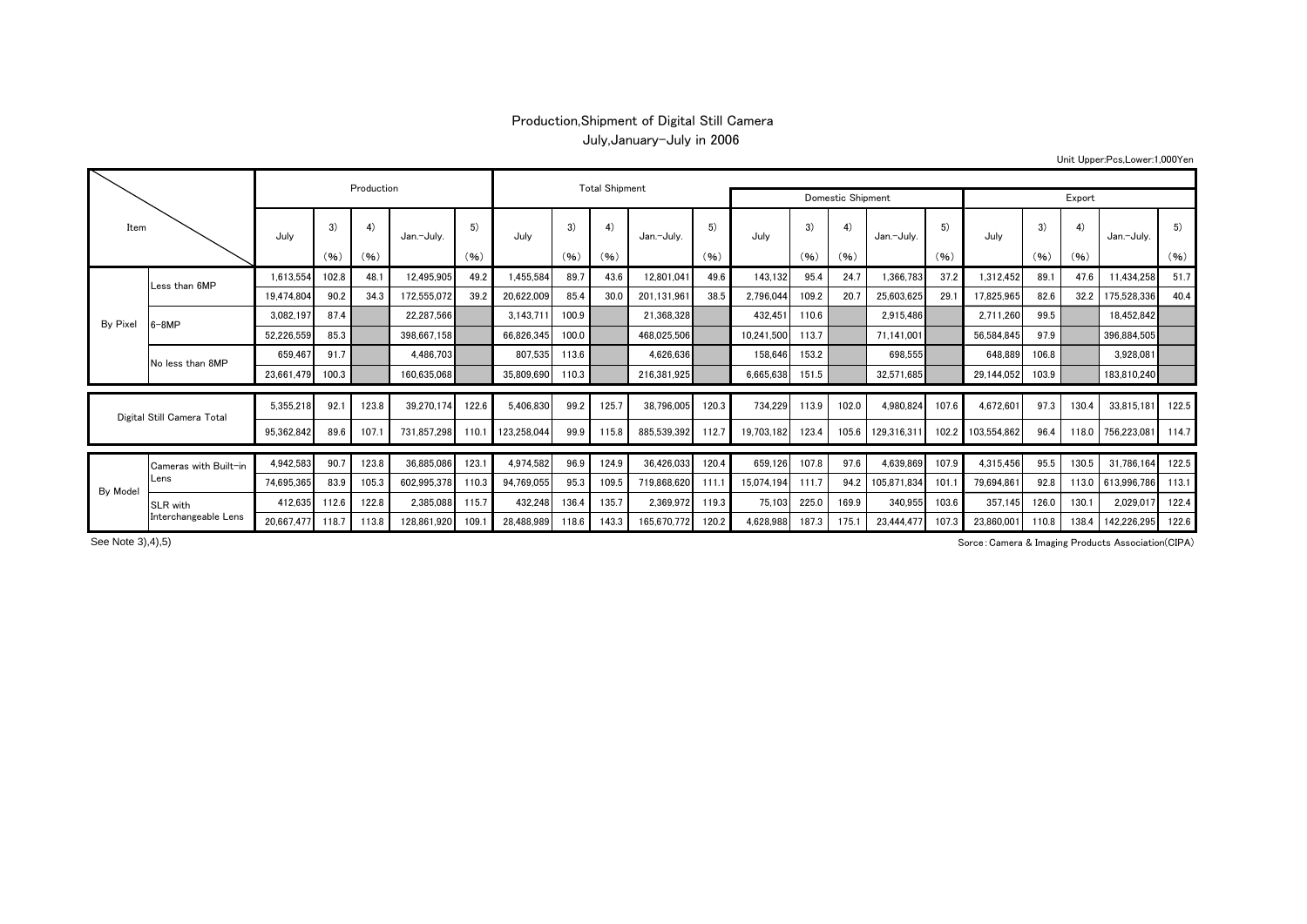## Production,Shipment of Digital Still Camera July,January-July in 2006

Unit Upper:Pcs,Lower:1,000Yen

| Item                        |                               |                  |       | Production |             |       |             | <b>Total Shipment</b> |       |             |                   |            |       |       |             |       |             |       |       |             |       |
|-----------------------------|-------------------------------|------------------|-------|------------|-------------|-------|-------------|-----------------------|-------|-------------|-------------------|------------|-------|-------|-------------|-------|-------------|-------|-------|-------------|-------|
|                             |                               |                  |       |            |             |       |             |                       |       |             | Domestic Shipment |            |       |       |             |       | Export      |       |       |             |       |
|                             |                               | July             | 3)    | 4)         | Jan.-Julv.  | 5)    | July        | 3)                    | 4)    | Jan.-Julv.  | 5)                | July       | 3)    | 4)    | Jan.-Julv.  | 5)    | July        | 3)    | 4)    | Jan.-July.  | 5)    |
|                             |                               |                  | (96)  | (96)       |             | (96)  |             | (96)                  | (96)  |             | (96)              |            | (96)  | (96)  |             | (96)  |             | (96)  | (96)  |             | (96)  |
|                             | Less than 6MP                 | 1,613,554        | 102.8 | 48.1       | 12,495,905  | 49.2  | 1,455,584   | 89.7                  | 43.6  | 12,801,041  | 49.6              | 143.132    | 95.4  | 24.7  | 1,366,783   | 37.2  | 1,312,452   | 89.   | 47.6  | 11,434,258  | 51.7  |
|                             |                               | 19,474,804       | 90.2  | 34.3       | 172,555,072 | 39.2  | 20,622,009  | 85.4                  | 30.0  | 201.131.961 | 38.5              | 2,796,044  | 109.2 | 20.7  | 25,603,625  | 29.1  | 17,825,965  | 82.6  | 32.2  | 175,528,336 | 40.4  |
|                             | $3-8MP$                       | 3,082,197        | 87.4  |            | 22,287,566  |       | 3,143,711   | 100.9                 |       | 21,368,328  |                   | 432,451    | 110.6 |       | 2,915,486   |       | 2.711.260   | 99.5  |       | 18,452,842  |       |
|                             |                               | 52,226,559       | 85.3  |            | 398,667,158 |       | 66,826,345  | 100.0                 |       | 468,025,506 |                   | 10,241,500 | 113.7 |       | 71,141,001  |       | 56,584,845  | 97.9  |       | 396,884,505 |       |
|                             | No less than 8MP              | 659,467          | 91.7  |            | 4,486,703   |       | 807,535     | 113.6                 |       | 4,626,636   |                   | 158,646    | 153.2 |       | 698,555     |       | 648.889     | 106.8 |       | 3,928,081   |       |
|                             |                               | 23,661,479 100.3 |       |            | 160.635.068 |       | 35,809,690  | 110.3                 |       | 216.381.925 |                   | 6,665,638  | 151.5 |       | 32.571.685  |       | 29,144,052  | 103.9 |       | 183,810,240 |       |
|                             |                               |                  |       |            |             |       |             |                       |       |             |                   |            |       |       |             |       |             |       |       |             |       |
|                             | Digital Still Camera Total    | 5,355,218        | 92.1  | 123.8      | 39.270.174  | 122.6 | 5,406,830   | 99.2                  | 125.7 | 38.796.005  | 120.3             | 734,229    | 113.9 | 102.0 | 4,980,824   | 107.6 | 4,672,601   | 97.3  | 130.4 | 33,815,181  | 122.5 |
|                             |                               | 95,362,842       | 89.6  | 107.       | 731.857.298 | 110.7 | 123,258,044 | 99.9                  | 115.8 | 885,539,392 | 112.7             | 19,703,182 | 123.4 | 105.6 | 129,316,311 | 102.2 | 103,554,862 | 96.4  | 118.0 | 756,223,081 | 114.7 |
|                             | Cameras with Built-in<br>Lens | 4,942,583        | 90.7  | 123.8      | 36.885.086  | 123.  | 4,974,582   | 96.9                  | 124.9 | 36.426.033  | 120.4             | 659,126    | 107.8 | 97.6  | 4,639,869   | 107.9 | 4,315,456   | 95.5  | 130.5 | 31,786,164  | 122.5 |
|                             |                               | 74,695,365       | 83.9  | 105.3      | 602.995.378 | 110.3 | 94,769,055  | 95.3                  | 109.5 | 719.868.620 | 111.1             | 15,074,194 | 111.7 | 94.2  | 105.871.834 | 101.1 | 79.694.861  | 92.8  | 113.0 | 613,996,786 | 113.1 |
| By Pixel<br><b>By Model</b> | SLR with                      | 412.635          | 112.6 | 122.8      | 2,385,088   | 115.7 | 432,248     | 136.4                 | 135.7 | 2,369,972   | 119.3             | 75,103     | 225.0 | 169.9 | 340,955     | 103.6 | 357.145     | 126.0 | 130.1 | 2,029,017   | 122.4 |
|                             | Interchangeable Lens          | 20.667.477 118.7 |       | 113.8      | 128.861.920 | 109.  | 28.488.989  | 118.6                 | 143.3 | 165.670.772 | 120.2             | 4,628,988  | 187.3 | 175.1 | 23.444.477  | 107.3 | 23,860,001  | 110.8 | 138.4 | 142.226.295 | 122.6 |

See Note 3), 4), 5)

Sorce:Camera & Imaging Products Association(CIPA)